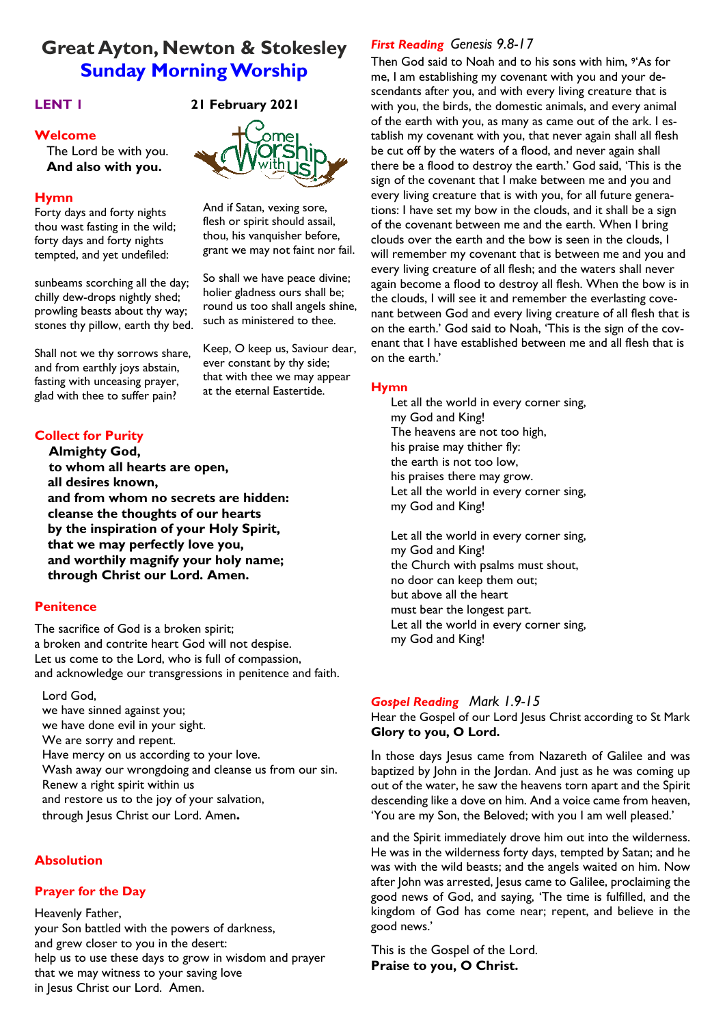# **Great Ayton, Newton & Stokesley Sunday Morning Worship**

#### **Welcome**

The Lord be with you. **And also with you.**

#### **Hymn**

Forty days and forty nights thou wast fasting in the wild; forty days and forty nights tempted, and yet undefiled:

sunbeams scorching all the day; chilly dew-drops nightly shed; prowling beasts about thy way; stones thy pillow, earth thy bed.

Shall not we thy sorrows share, and from earthly joys abstain, fasting with unceasing prayer, glad with thee to suffer pain?

## **Collect for Purity**

**Almighty God, to whom all hearts are open, all desires known, and from whom no secrets are hidden: cleanse the thoughts of our hearts by the inspiration of your Holy Spirit, that we may perfectly love you, and worthily magnify your holy name; through Christ our Lord. Amen.**

### **Penitence**

The sacrifice of God is a broken spirit; a broken and contrite heart God will not despise. Let us come to the Lord, who is full of compassion, and acknowledge our transgressions in penitence and faith.

Lord God,

we have sinned against you; we have done evil in your sight. We are sorry and repent. Have mercy on us according to your love. Wash away our wrongdoing and cleanse us from our sin. Renew a right spirit within us and restore us to the joy of your salvation, through Jesus Christ our Lord. Amen**.**

### **Absolution**

#### **Prayer for the Day**

Heavenly Father, your Son battled with the powers of darkness, and grew closer to you in the desert: help us to use these days to grow in wisdom and prayer that we may witness to your saving love in Jesus Christ our Lord. Amen.





And if Satan, vexing sore, flesh or spirit should assail, thou, his vanquisher before, grant we may not faint nor fail.

So shall we have peace divine; holier gladness ours shall be; round us too shall angels shine, such as ministered to thee.

Keep, O keep us, Saviour dear, ever constant by thy side; that with thee we may appear at the eternal Eastertide.

# *First Reading Genesis 9.8-17*

Then God said to Noah and to his sons with him, <sup>9</sup>'As for me, I am establishing my covenant with you and your descendants after you, and with every living creature that is with you, the birds, the domestic animals, and every animal of the earth with you, as many as came out of the ark. I establish my covenant with you, that never again shall all flesh be cut off by the waters of a flood, and never again shall there be a flood to destroy the earth.' God said, 'This is the sign of the covenant that I make between me and you and every living creature that is with you, for all future generations: I have set my bow in the clouds, and it shall be a sign of the covenant between me and the earth. When I bring clouds over the earth and the bow is seen in the clouds, I will remember my covenant that is between me and you and every living creature of all flesh; and the waters shall never again become a flood to destroy all flesh. When the bow is in the clouds, I will see it and remember the everlasting covenant between God and every living creature of all flesh that is on the earth.' God said to Noah, 'This is the sign of the covenant that I have established between me and all flesh that is on the earth.'

#### **Hymn**

Let all the world in every corner sing, my God and King! The heavens are not too high, his praise may thither fly: the earth is not too low, his praises there may grow. Let all the world in every corner sing, my God and King!

Let all the world in every corner sing, my God and King! the Church with psalms must shout, no door can keep them out; but above all the heart must bear the longest part. Let all the world in every corner sing, my God and King!

#### *Gospel Reading Mark 1.9-15*

Hear the Gospel of our Lord Jesus Christ according to St Mark **Glory to you, O Lord.**

In those days Jesus came from Nazareth of Galilee and was baptized by John in the Jordan. And just as he was coming up out of the water, he saw the heavens torn apart and the Spirit descending like a dove on him. And a voice came from heaven, 'You are my Son, the Beloved; with you I am well pleased.'

and the Spirit immediately drove him out into the wilderness. He was in the wilderness forty days, tempted by Satan; and he was with the wild beasts; and the angels waited on him. Now after John was arrested, Jesus came to Galilee, proclaiming the good news of God, and saying, 'The time is fulfilled, and the kingdom of God has come near; repent, and believe in the good news.'

This is the Gospel of the Lord. **Praise to you, O Christ.**